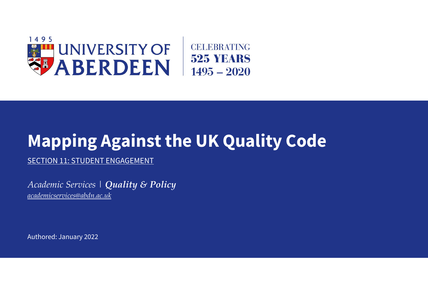

# **Mapping Against the UK Quality Code**

SECTION 11: STUDENT ENGAGEMENT

*Academic Services | Quality & Policy [academicservices@abdn.ac.uk](mailto:academicservices@abdn.ac.uk)*

Authored: January 2022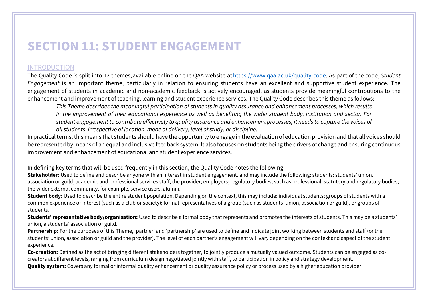# **SECTION 11: STUDENT ENGAGEMENT**

## INTRODUCTION

The Quality Code is split into 12 themes, available online on the QAA website a[t https://www.qaa.ac.uk/quality](https://www.qaa.ac.uk/quality-code)-code. As part of the code, *Student Engagement* is an important theme, particularly in relation to ensuring students have an excellent and supportive student experience. The engagement of students in academic and non-academic feedback is actively encouraged, as students provide meaningful contributions to the enhancement and improvement of teaching, learning and student experience services. The Quality Code describes this theme as follows:

*This Theme describes the meaningful participation of students in quality assurance and enhancement processes, which results in the improvement of their educational experience as well as benefiting the wider student body, institution and sector. For student engagement to contribute effectively to quality assurance and enhancement processes, it needs to capture the voices of all students, irrespective of location, mode of delivery, level of study, or discipline.*

In practical terms, this means that students should have the opportunity to engage in the evaluation of education provision and that all voices should be represented by means of an equal and inclusive feedback system. It also focuses on students being the drivers of change and ensuring continuous improvement and enhancement of educational and student experience services.

In defining key terms that will be used frequently in this section, the Quality Code notes the following:

**Stakeholder:** Used to define and describe anyone with an interest in student engagement, and may include the following: students; students' union, association or guild; academic and professional services staff; the provider; employers; regulatory bodies, such as professional, statutory and regulatory bodies; the wider external community, for example, service users; alumni.

**Student body:** Used to describe the entire student population. Depending on the context, this may include: individual students; groups of students with a common experience or interest (such as a club or society); formal representatives of a group (such as students' union, association or guild), or groups of students.

**Students' representative body/organisation:** Used to describe a formal body that represents and promotes the interests of students. This may be a students' union, a students' association or guild.

**Partnership:** For the purposes of this Theme, 'partner' and 'partnership' are used to define and indicate joint working between students and staff (or the students' union, association or guild and the provider). The level of each partner's engagement will vary depending on the context and aspect of the student experience.

**Co-creation:** Defined as the act of bringing different stakeholders together, to jointly produce a mutually valued outcome. Students can be engaged as cocreators at different levels, ranging from curriculum design negotiated jointly with staff, to participation in policy and strategy development. **Quality system:** Covers any formal or informal quality enhancement or quality assurance policy or process used by a higher education provider.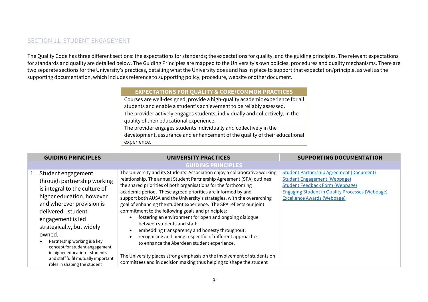### SECTION 11: STUDENT ENGAGEMENT

The Quality Code has three different sections: the expectations for standards; the expectations for quality; and the guiding principles. The relevant expectations for standards and quality are detailed below. The Guiding Principles are mapped to the University's own policies, procedures and quality mechanisms. There are two separate sections for the University's practices, detailing what the University does and has in place to support that expectation/principle, as well as the supporting documentation, which includes reference to supporting policy, procedure, website or other document.  

#### **EXPECTATIONS FOR QUALITY & CORE/COMMON PRACTICES**

Courses are well-designed, provide a high-quality academic experience for all students and enable a student's achievement to be reliably assessed. The provider actively engages students, individually and collectively, in the quality of their educational experience. The provider engages students individually and collectively in the development, assurance and enhancement of the quality of their educational experience.

| <b>GUIDING PRINCIPLES</b>                                                                                                                                                                                                                                                                                                                                                                                     | <b>UNIVERSITY PRACTICES</b>                                                                                                                                                                                                                                                                                                                                                                                                                                                                                                                                                                                                                                                                                                                                                                                                                                                                                         | <b>SUPPORTING DOCUMENTATION</b>                                                                                                                                                                                                  |
|---------------------------------------------------------------------------------------------------------------------------------------------------------------------------------------------------------------------------------------------------------------------------------------------------------------------------------------------------------------------------------------------------------------|---------------------------------------------------------------------------------------------------------------------------------------------------------------------------------------------------------------------------------------------------------------------------------------------------------------------------------------------------------------------------------------------------------------------------------------------------------------------------------------------------------------------------------------------------------------------------------------------------------------------------------------------------------------------------------------------------------------------------------------------------------------------------------------------------------------------------------------------------------------------------------------------------------------------|----------------------------------------------------------------------------------------------------------------------------------------------------------------------------------------------------------------------------------|
|                                                                                                                                                                                                                                                                                                                                                                                                               | <b>GUIDING PRINCIPLES</b>                                                                                                                                                                                                                                                                                                                                                                                                                                                                                                                                                                                                                                                                                                                                                                                                                                                                                           |                                                                                                                                                                                                                                  |
| 1. Student engagement<br>through partnership working<br>is integral to the culture of<br>higher education, however<br>and wherever provision is<br>delivered - student<br>engagement is led<br>strategically, but widely<br>owned.<br>Partnership working is a key<br>concept for student engagement<br>in higher education - students<br>and staff fulfil mutually important<br>roles in shaping the student | The University and its Students' Association enjoy a collaborative working<br>relationship. The annual Student Partnership Agreement (SPA) outlines<br>the shared priorities of both organisations for the forthcoming<br>academic period. These agreed priorities are informed by and<br>support both AUSA and the University's strategies, with the overarching<br>goal of enhancing the student experience. The SPA reflects our joint<br>commitment to the following goals and principles:<br>fostering an environment for open and ongoing dialogue<br>between students and staff;<br>embedding transparency and honesty throughout;<br>$\bullet$<br>recognising and being respectful of different approaches<br>to enhance the Aberdeen student experience.<br>The University places strong emphasis on the involvement of students on<br>committees and in decision making thus helping to shape the student | <b>Student Partnership Agreement (Document)</b><br><b>Student Engagement (Webpage)</b><br><b>Student Feedback Form (Webpage)</b><br><b>Engaging Student in Quality Processes (Webpage)</b><br><b>Excellence Awards (Webpage)</b> |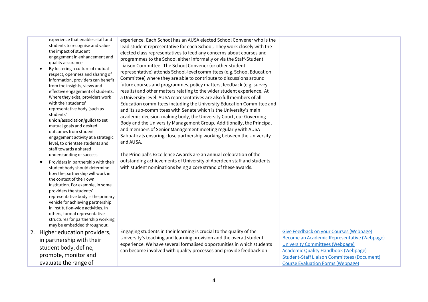| experience that enables staff and<br>students to recognise and value<br>the impact of student<br>engagement in enhancement and<br>quality assurance.<br>By fostering a culture of mutual<br>respect, openness and sharing of<br>information, providers can benefit<br>from the insights, views and<br>effective engagement of students.<br>Where they exist, providers work<br>with their students'<br>representative body (such as<br>students'<br>union/association/guild) to set<br>mutual goals and desired<br>outcomes from student<br>engagement activity at a strategic<br>level, to orientate students and<br>staff towards a shared<br>understanding of success.<br>Providers in partnership with their<br>student body should determine<br>how the partnership will work in<br>the context of their own<br>institution. For example, in some<br>providers the students'<br>representative body is the primary<br>vehicle for achieving partnership<br>in institution-wide activities. In<br>others, formal representative<br>structures for partnership working<br>may be embedded throughout. | experience. Each School has an AUSA elected School Convener who is the<br>lead student representative for each School. They work closely with the<br>elected class representatives to feed any concerns about courses and<br>programmes to the School either informally or via the Staff-Student<br>Liaison Committee. The School Convener (or other student<br>representative) attends School-level committees (e.g. School Education<br>Committee) where they are able to contribute to discussions around<br>future courses and programmes, policy matters, feedback (e.g. survey<br>results) and other matters relating to the wider student experience. At<br>a University level, AUSA representatives are also full members of all<br>Education committees including the University Education Committee and<br>and its sub-committees with Senate which is the University's main<br>academic decision-making body, the University Court, our Governing<br>Body and the University Management Group. Additionally, the Principal<br>and members of Senior Management meeting regularly with AUSA<br>Sabbaticals ensuring close partnership working between the University<br>and AUSA.<br>The Principal's Excellence Awards are an annual celebration of the<br>outstanding achievements of University of Aberdeen staff and students<br>with student nominations being a core strand of these awards. | Give Feedback on your Courses (Webpage)                                                                                                                                                                                               |
|----------------------------------------------------------------------------------------------------------------------------------------------------------------------------------------------------------------------------------------------------------------------------------------------------------------------------------------------------------------------------------------------------------------------------------------------------------------------------------------------------------------------------------------------------------------------------------------------------------------------------------------------------------------------------------------------------------------------------------------------------------------------------------------------------------------------------------------------------------------------------------------------------------------------------------------------------------------------------------------------------------------------------------------------------------------------------------------------------------|-------------------------------------------------------------------------------------------------------------------------------------------------------------------------------------------------------------------------------------------------------------------------------------------------------------------------------------------------------------------------------------------------------------------------------------------------------------------------------------------------------------------------------------------------------------------------------------------------------------------------------------------------------------------------------------------------------------------------------------------------------------------------------------------------------------------------------------------------------------------------------------------------------------------------------------------------------------------------------------------------------------------------------------------------------------------------------------------------------------------------------------------------------------------------------------------------------------------------------------------------------------------------------------------------------------------------------------------------------------------------------------------------------------|---------------------------------------------------------------------------------------------------------------------------------------------------------------------------------------------------------------------------------------|
| 2. Higher education providers,<br>in partnership with their<br>student body, define,<br>promote, monitor and<br>evaluate the range of                                                                                                                                                                                                                                                                                                                                                                                                                                                                                                                                                                                                                                                                                                                                                                                                                                                                                                                                                                    | Engaging students in their learning is crucial to the quality of the<br>University's teaching and learning provision and the overall student<br>experience. We have several formalised opportunities in which students<br>can become involved with quality processes and provide feedback on                                                                                                                                                                                                                                                                                                                                                                                                                                                                                                                                                                                                                                                                                                                                                                                                                                                                                                                                                                                                                                                                                                                | Become an Academic Representative (Webpage)<br><b>University Committees (Webpage)</b><br><b>Academic Quality Handbook (Webpage)</b><br><b>Student-Staff Liaison Committees (Document)</b><br><b>Course Evaluation Forms (Webpage)</b> |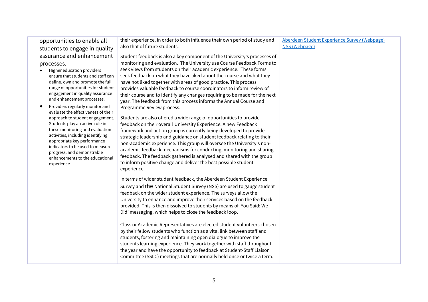| opportunities to enable all                                            | their experience, in order to both influence their own period of study and                                                                          | Aberdeen Student Experience Survey (Webpage) |
|------------------------------------------------------------------------|-----------------------------------------------------------------------------------------------------------------------------------------------------|----------------------------------------------|
| students to engage in quality                                          | also that of future students.                                                                                                                       | NSS (Webpage)                                |
| assurance and enhancement                                              | Student feedback is also a key component of the University's processes of                                                                           |                                              |
| processes.                                                             | monitoring and evaluation. The University use Course Feedback Forms to                                                                              |                                              |
| Higher education providers                                             | seek views from students on their academic experience. These forms                                                                                  |                                              |
| ensure that students and staff can                                     | seek feedback on what they have liked about the course and what they                                                                                |                                              |
| define, own and promote the full<br>range of opportunities for student | have not liked together with areas of good practice. This process                                                                                   |                                              |
| engagement in quality assurance                                        | provides valuable feedback to course coordinators to inform review of<br>their course and to identify any changes requiring to be made for the next |                                              |
| and enhancement processes.                                             | year. The feedback from this process informs the Annual Course and                                                                                  |                                              |
| Providers regularly monitor and                                        | Programme Review process.                                                                                                                           |                                              |
| evaluate the effectiveness of their                                    |                                                                                                                                                     |                                              |
| approach to student engagement.                                        | Students are also offered a wide range of opportunities to provide                                                                                  |                                              |
| Students play an active role in<br>these monitoring and evaluation     | feedback on their overall University Experience. A new Feedback                                                                                     |                                              |
| activities, including identifying                                      | framework and action group is currently being developed to provide                                                                                  |                                              |
| appropriate key performance                                            | strategic leadership and guidance on student feedback relating to their<br>non-academic experience. This group will oversee the University's non-   |                                              |
| indicators to be used to measure                                       | academic feedback mechanisms for conducting, monitoring and sharing                                                                                 |                                              |
| progress, and demonstrable                                             | feedback. The feedback gathered is analysed and shared with the group                                                                               |                                              |
| enhancements to the educational<br>experience.                         | to inform positive change and deliver the best possible student                                                                                     |                                              |
|                                                                        | experience.                                                                                                                                         |                                              |
|                                                                        | In terms of wider student feedback, the Aberdeen Student Experience                                                                                 |                                              |
|                                                                        | Survey and the National Student Survey (NSS) are used to gauge student                                                                              |                                              |
|                                                                        | feedback on the wider student experience. The surveys allow the                                                                                     |                                              |
|                                                                        | University to enhance and improve their services based on the feedback                                                                              |                                              |
|                                                                        | provided. This is then dissolved to students by means of 'You Said: We                                                                              |                                              |
|                                                                        | Did' messaging, which helps to close the feedback loop.                                                                                             |                                              |
|                                                                        |                                                                                                                                                     |                                              |
|                                                                        | Class or Academic Representatives are elected student volunteers chosen                                                                             |                                              |
|                                                                        | by their fellow students who function as a vital link between staff and                                                                             |                                              |
|                                                                        | students, fostering and maintaining open dialogue to improve the                                                                                    |                                              |
|                                                                        | students learning experience. They work together with staff throughout                                                                              |                                              |
|                                                                        | the year and have the opportunity to feedback at Student-Staff Liaison                                                                              |                                              |
|                                                                        | Committee (SSLC) meetings that are normally held once or twice a term.                                                                              |                                              |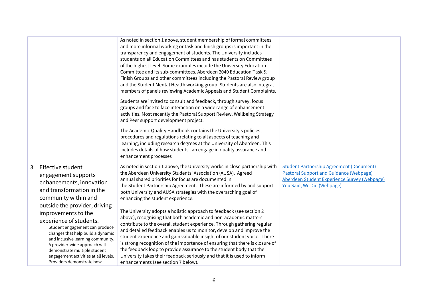|                                                                                                                                                                                                                                                                                                                                                                                                                                                                   | As noted in section 1 above, student membership of formal committees<br>and more informal working or task and finish groups is important in the<br>transparency and engagement of students. The University includes<br>students on all Education Committees and has students on Committees<br>of the highest level. Some examples include the University Education<br>Committee and its sub-committees, Aberdeen 2040 Education Task &<br>Finish Groups and other committees including the Pastoral Review group<br>and the Student Mental Health working group. Students are also integral<br>members of panels reviewing Academic Appeals and Student Complaints.                                                                                                                                                                                                                                                                                                                                                                     |                                                                                                                                                                                 |
|-------------------------------------------------------------------------------------------------------------------------------------------------------------------------------------------------------------------------------------------------------------------------------------------------------------------------------------------------------------------------------------------------------------------------------------------------------------------|-----------------------------------------------------------------------------------------------------------------------------------------------------------------------------------------------------------------------------------------------------------------------------------------------------------------------------------------------------------------------------------------------------------------------------------------------------------------------------------------------------------------------------------------------------------------------------------------------------------------------------------------------------------------------------------------------------------------------------------------------------------------------------------------------------------------------------------------------------------------------------------------------------------------------------------------------------------------------------------------------------------------------------------------|---------------------------------------------------------------------------------------------------------------------------------------------------------------------------------|
|                                                                                                                                                                                                                                                                                                                                                                                                                                                                   | Students are invited to consult and feedback, through survey, focus<br>groups and face to face interaction on a wide range of enhancement<br>activities. Most recently the Pastoral Support Review, Wellbeing Strategy<br>and Peer support development project.                                                                                                                                                                                                                                                                                                                                                                                                                                                                                                                                                                                                                                                                                                                                                                         |                                                                                                                                                                                 |
|                                                                                                                                                                                                                                                                                                                                                                                                                                                                   | The Academic Quality Handbook contains the University's policies,<br>procedures and regulations relating to all aspects of teaching and<br>learning, including research degrees at the University of Aberdeen. This<br>includes details of how students can engage in quality assurance and<br>enhancement processes                                                                                                                                                                                                                                                                                                                                                                                                                                                                                                                                                                                                                                                                                                                    |                                                                                                                                                                                 |
| 3. Effective student<br>engagement supports<br>enhancements, innovation<br>and transformation in the<br>community within and<br>outside the provider, driving<br>improvements to the<br>experience of students.<br>Student engagement can produce<br>changes that help build a dynamic<br>and inclusive learning community.<br>A provider-wide approach will<br>demonstrate multiple student<br>engagement activities at all levels.<br>Providers demonstrate how | As noted in section 1 above, the University works in close partnership with<br>the Aberdeen University Students' Association (AUSA). Agreed<br>annual shared priorities for focus are documented in<br>the Student Partnership Agreement. These are informed by and support<br>both University and AUSA strategies with the overarching goal of<br>enhancing the student experience.<br>The University adopts a holistic approach to feedback (see section 2<br>above), recognising that both academic and non-academic matters<br>contribute to the overall student experience. Through gathering regular<br>and detailed feedback enables us to monitor, develop and improve the<br>student experience and gain valuable insight of our student voice. There<br>is strong recognition of the importance of ensuring that there is closure of<br>the feedback loop to provide assurance to the student body that the<br>University takes their feedback seriously and that it is used to inform<br>enhancements (see section 7 below). | <b>Student Partnership Agreement (Document)</b><br><b>Pastoral Support and Guidance (Webpage)</b><br>Aberdeen Student Experience Survey (Webpage)<br>You Said, We Did (Webpage) |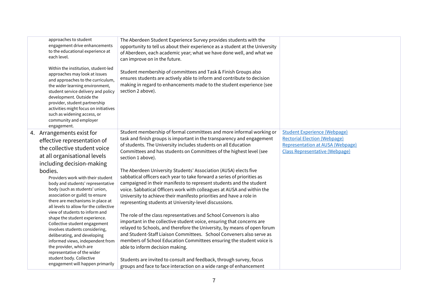| approaches to student<br>engagement drive enhancements<br>to the educational experience at<br>each level.<br>Within the institution, student-led<br>approaches may look at issues<br>and approaches to the curriculum,<br>the wider learning environment,<br>student service delivery and policy<br>development. Outside the<br>provider, student partnership<br>activities might focus on initiatives<br>such as widening access, or<br>community and employer<br>engagement. | The Aberdeen Student Experience Survey provides students with the<br>opportunity to tell us about their experience as a student at the University<br>of Aberdeen, each academic year; what we have done well, and what we<br>can improve on in the future.<br>Student membership of committees and Task & Finish Groups also<br>ensures students are actively able to inform and contribute to decision<br>making in regard to enhancements made to the student experience (see<br>section 2 above).                                                    |                                                                                                                                                                |
|--------------------------------------------------------------------------------------------------------------------------------------------------------------------------------------------------------------------------------------------------------------------------------------------------------------------------------------------------------------------------------------------------------------------------------------------------------------------------------|---------------------------------------------------------------------------------------------------------------------------------------------------------------------------------------------------------------------------------------------------------------------------------------------------------------------------------------------------------------------------------------------------------------------------------------------------------------------------------------------------------------------------------------------------------|----------------------------------------------------------------------------------------------------------------------------------------------------------------|
| 4. Arrangements exist for<br>effective representation of<br>the collective student voice<br>at all organisational levels<br>including decision-making                                                                                                                                                                                                                                                                                                                          | Student membership of formal committees and more informal working or<br>task and finish groups is important in the transparency and engagement<br>of students. The University includes students on all Education<br>Committees and has students on Committees of the highest level (see<br>section 1 above).                                                                                                                                                                                                                                            | <b>Student Experience (Webpage)</b><br><b>Rectorial Election (Webpage)</b><br><b>Representation at AUSA (Webpage)</b><br><b>Class Representative (Webpage)</b> |
| bodies.<br>Providers work with their student<br>body and students' representative<br>body (such as students' union,<br>association or guild) to ensure<br>there are mechanisms in place at<br>all levels to allow for the collective<br>view of students to inform and                                                                                                                                                                                                         | The Aberdeen University Students' Association (AUSA) elects five<br>sabbatical officers each year to take forward a series of priorities as<br>campaigned in their manifesto to represent students and the student<br>voice. Sabbatical Officers work with colleagues at AUSA and within the<br>University to achieve their manifesto priorities and have a role in<br>representing students at University-level discussions.                                                                                                                           |                                                                                                                                                                |
| shape the student experience.<br>Collective student engagement<br>involves students considering,<br>deliberating, and developing<br>informed views, independent from<br>the provider, which are<br>representative of the wider<br>student body. Collective<br>engagement will happen primarily                                                                                                                                                                                 | The role of the class representatives and School Convenors is also<br>important in the collective student voice, ensuring that concerns are<br>relayed to Schools, and therefore the University, by means of open forum<br>and Student-Staff Liaison Committees. School Conveners also serve as<br>members of School Education Committees ensuring the student voice is<br>able to inform decision making.<br>Students are invited to consult and feedback, through survey, focus<br>groups and face to face interaction on a wide range of enhancement |                                                                                                                                                                |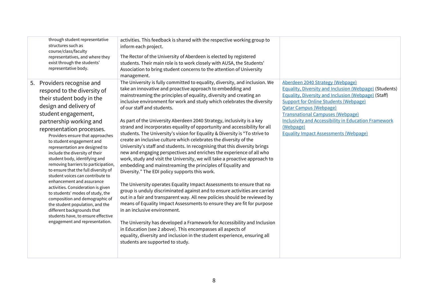| through student representative<br>structures such as<br>course/class/faculty<br>representatives, and where they<br>exist through the students'<br>representative body.                                                                                                                                                                                                                                                                                                                                                                                                                                                                                                                                                                                                     | activities. This feedback is shared with the respective working group to<br>inform each project.<br>The Rector of the University of Aberdeen is elected by registered<br>students. Their main role is to work closely with AUSA, the Students'<br>Association to bring student concerns to the attention of University<br>management.                                                                                                                                                                                                                                                                                                                                                                                                                                                                                                                                                                                                                                                                                                                                                                                                                                                                                                                                                                                                                                                                                                                                                                                                                                                               |                                                                                                                                                                                                                                                                                                                                                                                                                         |
|----------------------------------------------------------------------------------------------------------------------------------------------------------------------------------------------------------------------------------------------------------------------------------------------------------------------------------------------------------------------------------------------------------------------------------------------------------------------------------------------------------------------------------------------------------------------------------------------------------------------------------------------------------------------------------------------------------------------------------------------------------------------------|-----------------------------------------------------------------------------------------------------------------------------------------------------------------------------------------------------------------------------------------------------------------------------------------------------------------------------------------------------------------------------------------------------------------------------------------------------------------------------------------------------------------------------------------------------------------------------------------------------------------------------------------------------------------------------------------------------------------------------------------------------------------------------------------------------------------------------------------------------------------------------------------------------------------------------------------------------------------------------------------------------------------------------------------------------------------------------------------------------------------------------------------------------------------------------------------------------------------------------------------------------------------------------------------------------------------------------------------------------------------------------------------------------------------------------------------------------------------------------------------------------------------------------------------------------------------------------------------------------|-------------------------------------------------------------------------------------------------------------------------------------------------------------------------------------------------------------------------------------------------------------------------------------------------------------------------------------------------------------------------------------------------------------------------|
| 5. Providers recognise and<br>respond to the diversity of<br>their student body in the<br>design and delivery of<br>student engagement,<br>partnership working and<br>representation processes.<br>Providers ensure that approaches<br>to student engagement and<br>representation are designed to<br>include the diversity of their<br>student body, identifying and<br>removing barriers to participation,<br>to ensure that the full diversity of<br>student voices can contribute to<br>enhancement and assurance<br>activities. Consideration is given<br>to students' modes of study, the<br>composition and demographic of<br>the student population, and the<br>different backgrounds that<br>students have, to ensure effective<br>engagement and representation. | The University is fully committed to equality, diversity, and inclusion. We<br>take an innovative and proactive approach to embedding and<br>mainstreaming the principles of equality, diversity and creating an<br>inclusive environment for work and study which celebrates the diversity<br>of our staff and students.<br>As part of the University Aberdeen 2040 Strategy, inclusivity is a key<br>strand and incorporates equality of opportunity and accessibility for all<br>students. The University's vision for Equality & Diversity is "To strive to<br>create an inclusive culture which celebrates the diversity of the<br>University's staff and students. In recognising that this diversity brings<br>new and engaging perspectives and enriches the experience of all who<br>work, study and visit the University, we will take a proactive approach to<br>embedding and mainstreaming the principles of Equality and<br>Diversity." The EDI policy supports this work.<br>The University operates Equality Impact Assessments to ensure that no<br>group is unduly discriminated against and to ensure activities are carried<br>out in a fair and transparent way. All new policies should be reviewed by<br>means of Equality Impact Assessments to ensure they are fit for purpose<br>in an inclusive environment.<br>The University has developed a Framework for Accessibility and Inclusion<br>in Education (see 2 above). This encompasses all aspects of<br>equality, diversity and inclusion in the student experience, ensuring all<br>students are supported to study. | Aberdeen 2040 Strategy (Webpage)<br><b>Equality, Diversity and Inclusion (Webpage) (Students)</b><br><b>Equality, Diversity and Inclusion (Webpage) (Staff)</b><br><b>Support for Online Students (Webpage)</b><br><b>Qatar Campus (Webpage)</b><br><b>Transnational Campuses (Webpage)</b><br><b>Inclusivity and Accessibility in Education Framework</b><br>(Webpage)<br><b>Equality Impact Assessments (Webpage)</b> |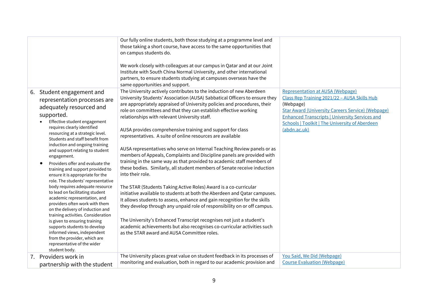|                                                                                                                                                                                                                                                                                                                                                                                                                                                                                                                                                                                                                                                                                                                                                                                                                                                                                   | Our fully online students, both those studying at a programme level and<br>those taking a short course, have access to the same opportunities that<br>on campus students do.                                                                                                                                                                                                                                                                                                                                                                                                                                                                                                                                                                                                                                                                                                                                                                                                                                                                                                                                                                                                                                                                                                                                               |                                                                                                                                                                                                                                                                                                    |
|-----------------------------------------------------------------------------------------------------------------------------------------------------------------------------------------------------------------------------------------------------------------------------------------------------------------------------------------------------------------------------------------------------------------------------------------------------------------------------------------------------------------------------------------------------------------------------------------------------------------------------------------------------------------------------------------------------------------------------------------------------------------------------------------------------------------------------------------------------------------------------------|----------------------------------------------------------------------------------------------------------------------------------------------------------------------------------------------------------------------------------------------------------------------------------------------------------------------------------------------------------------------------------------------------------------------------------------------------------------------------------------------------------------------------------------------------------------------------------------------------------------------------------------------------------------------------------------------------------------------------------------------------------------------------------------------------------------------------------------------------------------------------------------------------------------------------------------------------------------------------------------------------------------------------------------------------------------------------------------------------------------------------------------------------------------------------------------------------------------------------------------------------------------------------------------------------------------------------|----------------------------------------------------------------------------------------------------------------------------------------------------------------------------------------------------------------------------------------------------------------------------------------------------|
|                                                                                                                                                                                                                                                                                                                                                                                                                                                                                                                                                                                                                                                                                                                                                                                                                                                                                   | We work closely with colleagues at our campus in Qatar and at our Joint<br>Institute with South China Normal University, and other international<br>partners, to ensure students studying at campuses overseas have the<br>same opportunities and support.                                                                                                                                                                                                                                                                                                                                                                                                                                                                                                                                                                                                                                                                                                                                                                                                                                                                                                                                                                                                                                                                 |                                                                                                                                                                                                                                                                                                    |
| 6. Student engagement and<br>representation processes are<br>adequately resourced and<br>supported.<br>Effective student engagement<br>requires clearly identified<br>resourcing at a strategic level.<br>Students and staff benefit from<br>induction and ongoing training<br>and support relating to student<br>engagement.<br>Providers offer and evaluate the<br>training and support provided to<br>ensure it is appropriate for the<br>role. The students' representative<br>body requires adequate resource<br>to lead on facilitating student<br>academic representation, and<br>providers often work with them<br>on the delivery of induction and<br>training activities. Consideration<br>is given to ensuring training<br>supports students to develop<br>informed views, independent<br>from the provider, which are<br>representative of the wider<br>student body. | The University actively contributes to the induction of new Aberdeen<br>University Students' Association (AUSA) Sabbatical Officers to ensure they<br>are appropriately appraised of University policies and procedures, their<br>role on committees and that they can establish effective working<br>relationships with relevant University staff.<br>AUSA provides comprehensive training and support for class<br>representatives. A suite of online resources are available<br>AUSA representatives who serve on Internal Teaching Review panels or as<br>members of Appeals, Complaints and Discipline panels are provided with<br>training in the same way as that provided to academic staff members of<br>these bodies. Similarly, all student members of Senate receive induction<br>into their role.<br>The STAR (Students Taking Active Roles) Award is a co-curricular<br>initiative available to students at both the Aberdeen and Qatar campuses.<br>It allows students to assess, enhance and gain recognition for the skills<br>they develop through any unpaid role of responsibility on or off campus.<br>The University's Enhanced Transcript recognises not just a student's<br>academic achievements but also recognises co-curricular activities such<br>as the STAR award and AUSA Committee roles. | <b>Representation at AUSA (Webpage)</b><br>Class Rep Training 2021/22 - AUSA Skills Hub<br>(Webpage)<br><b>Star Award (University Careers Service) (Webpage)</b><br><b>Enhanced Transcripts   University Services and</b><br><b>Schools   Toolkit   The University of Aberdeen</b><br>(abdn.ac.uk) |
| 7. Providers work in<br>partnership with the student                                                                                                                                                                                                                                                                                                                                                                                                                                                                                                                                                                                                                                                                                                                                                                                                                              | The University places great value on student feedback in its processes of<br>monitoring and evaluation, both in regard to our academic provision and                                                                                                                                                                                                                                                                                                                                                                                                                                                                                                                                                                                                                                                                                                                                                                                                                                                                                                                                                                                                                                                                                                                                                                       | You Said, We Did (Webpage)<br><b>Course Evaluation (Webpage)</b>                                                                                                                                                                                                                                   |